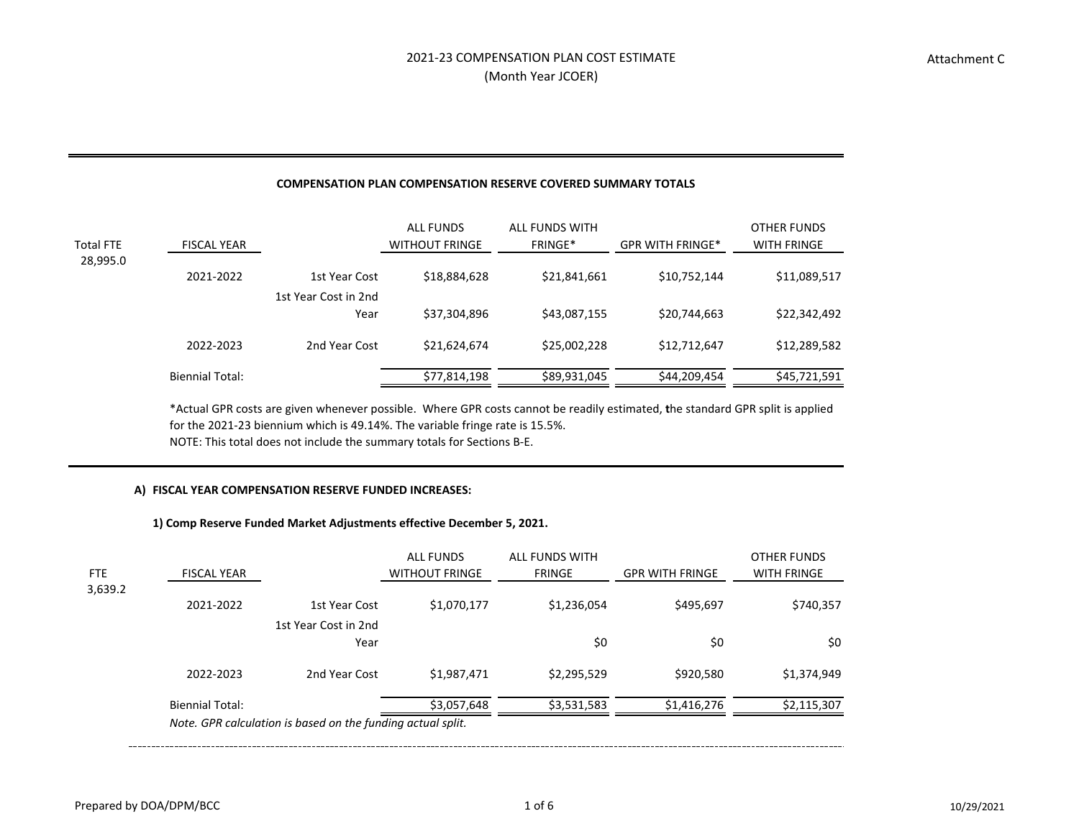#### **COMPENSATION PLAN COMPENSATION RESERVE COVERED SUMMARY TOTALS**

|           |                        |                      | <b>ALL FUNDS</b>      | ALL FUNDS WITH |                         | <b>OTHER FUNDS</b> |
|-----------|------------------------|----------------------|-----------------------|----------------|-------------------------|--------------------|
| Total FTE | <b>FISCAL YEAR</b>     |                      | <b>WITHOUT FRINGE</b> | <b>FRINGE*</b> | <b>GPR WITH FRINGE*</b> | <b>WITH FRINGE</b> |
| 28,995.0  |                        |                      |                       |                |                         |                    |
|           | 2021-2022              | 1st Year Cost        | \$18,884,628          | \$21,841,661   | \$10,752,144            | \$11,089,517       |
|           |                        | 1st Year Cost in 2nd |                       |                |                         |                    |
|           |                        | Year                 | \$37,304,896          | \$43,087,155   | \$20,744,663            | \$22,342,492       |
|           | 2022-2023              | 2nd Year Cost        | \$21,624,674          | \$25,002,228   | \$12,712,647            | \$12,289,582       |
|           | <b>Biennial Total:</b> |                      | \$77,814,198          | \$89,931,045   | \$44,209,454            | \$45,721,591       |

\*Actual GPR costs are given whenever possible. Where GPR costs cannot be readily estimated, **<sup>t</sup>**he standard GPR split is applied for the 2021‐23 biennium which is 49.14%. The variable fringe rate is 15.5%. NOTE: This total does not include the summary totals for Sections B‐E.

### **A) FISCAL YEAR COMPENSATION RESERVE FUNDED INCREASES:**

### **1) Comp Reserve Funded Market Adjustments effective December 5, 2021.**

|         |                        |                                                             | <b>ALL FUNDS</b>      | ALL FUNDS WITH |                        | <b>OTHER FUNDS</b> |
|---------|------------------------|-------------------------------------------------------------|-----------------------|----------------|------------------------|--------------------|
| FTE     | <b>FISCAL YEAR</b>     |                                                             | <b>WITHOUT FRINGE</b> | <b>FRINGE</b>  | <b>GPR WITH FRINGE</b> | <b>WITH FRINGE</b> |
| 3,639.2 |                        |                                                             |                       |                |                        |                    |
|         | 2021-2022              | 1st Year Cost                                               | \$1,070,177           | \$1,236,054    | \$495,697              | \$740,357          |
|         |                        | 1st Year Cost in 2nd                                        |                       |                |                        |                    |
|         |                        | Year                                                        |                       | \$0            | \$0                    | \$0                |
|         | 2022-2023              | 2nd Year Cost                                               | \$1,987,471           | \$2,295,529    | \$920,580              | \$1,374,949        |
|         | <b>Biennial Total:</b> |                                                             | \$3,057,648           | \$3,531,583    | \$1,416,276            | \$2,115,307        |
|         |                        | Note. GPR calculation is based on the funding actual split. |                       |                |                        |                    |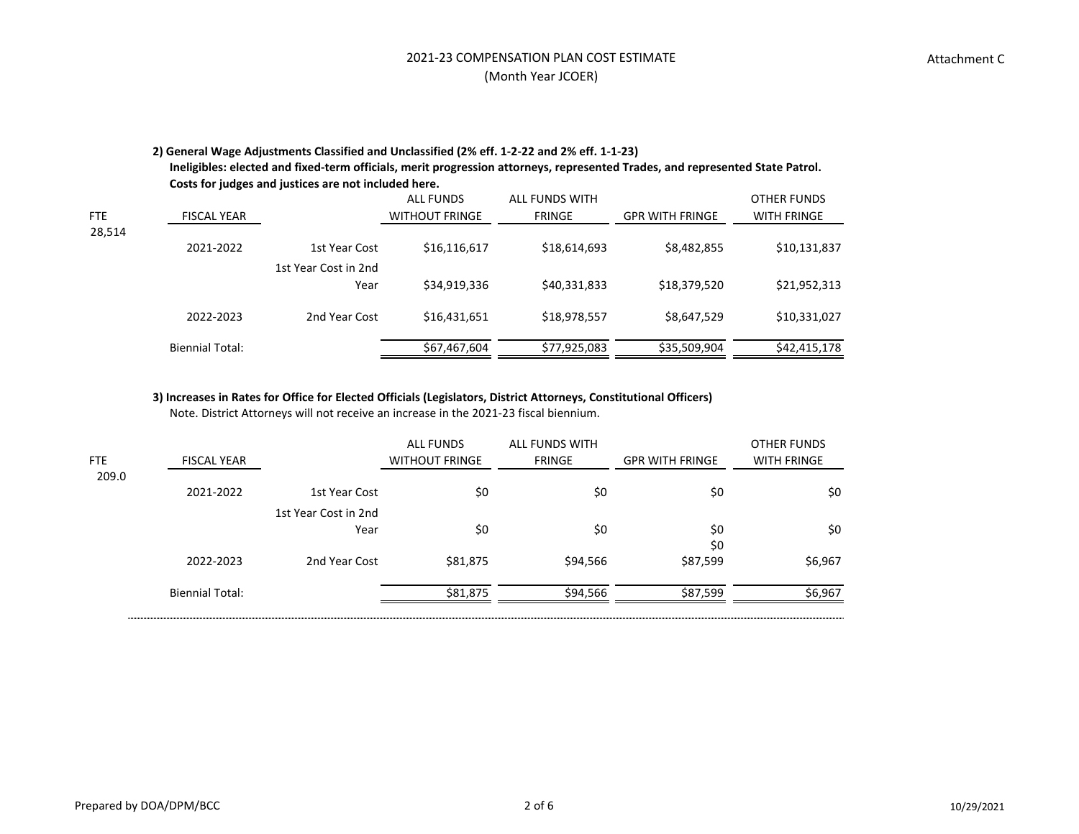## 2) General Wage Adjustments Classified and Unclassified (2% eff. 1-2-22 and 2% eff. 1-1-23) Ineligibles: elected and fixed-term officials, merit progression attorneys, represented Trades, and represented State Patrol. **Costs for judges and justices are not included here.**

|        |                        |                      | <b>ALL FUNDS</b>      | ALL FUNDS WITH |                        | <b>OTHER FUNDS</b> |
|--------|------------------------|----------------------|-----------------------|----------------|------------------------|--------------------|
| FTE    | <b>FISCAL YEAR</b>     |                      | <b>WITHOUT FRINGE</b> | <b>FRINGE</b>  | <b>GPR WITH FRINGE</b> | <b>WITH FRINGE</b> |
| 28,514 |                        |                      |                       |                |                        |                    |
|        | 2021-2022              | 1st Year Cost        | \$16,116,617          | \$18,614,693   | \$8,482,855            | \$10,131,837       |
|        |                        | 1st Year Cost in 2nd |                       |                |                        |                    |
|        |                        | Year                 | \$34,919,336          | \$40,331,833   | \$18,379,520           | \$21,952,313       |
|        |                        |                      |                       |                |                        |                    |
|        | 2022-2023              | 2nd Year Cost        | \$16,431,651          | \$18,978,557   | \$8,647,529            | \$10,331,027       |
|        |                        |                      |                       |                |                        |                    |
|        | <b>Biennial Total:</b> |                      | \$67,467,604          | \$77,925,083   | \$35,509,904           | \$42,415,178       |

### **3) Increases in Rates for Office for Elected Officials (Legislators, District Attorneys, Constitutional Officers)**

Note. District Attorneys will not receive an increase in the 2021‐23 fiscal biennium.

| FTE                          | <b>FISCAL YEAR</b> |                              | <b>ALL FUNDS</b><br><b>WITHOUT FRINGE</b> | ALL FUNDS WITH<br><b>FRINGE</b> | <b>GPR WITH FRINGE</b> | OTHER FUNDS<br><b>WITH FRINGE</b> |
|------------------------------|--------------------|------------------------------|-------------------------------------------|---------------------------------|------------------------|-----------------------------------|
| 209.0                        | 2021-2022          | 1st Year Cost                | \$0                                       | \$0                             | \$0                    | \$0                               |
|                              |                    | 1st Year Cost in 2nd<br>Year | \$0                                       | \$0                             | \$0<br>\$0             | \$0                               |
|                              | 2022-2023          | 2nd Year Cost                | \$81,875                                  | \$94,566                        | \$87,599               | \$6,967                           |
|                              | Biennial Total:    |                              | \$81,875                                  | \$94,566                        | \$87,599               | \$6,967                           |
| ,,,,,,,,,,,,,,,,,,,,,,,,,,,, |                    |                              |                                           |                                 |                        |                                   |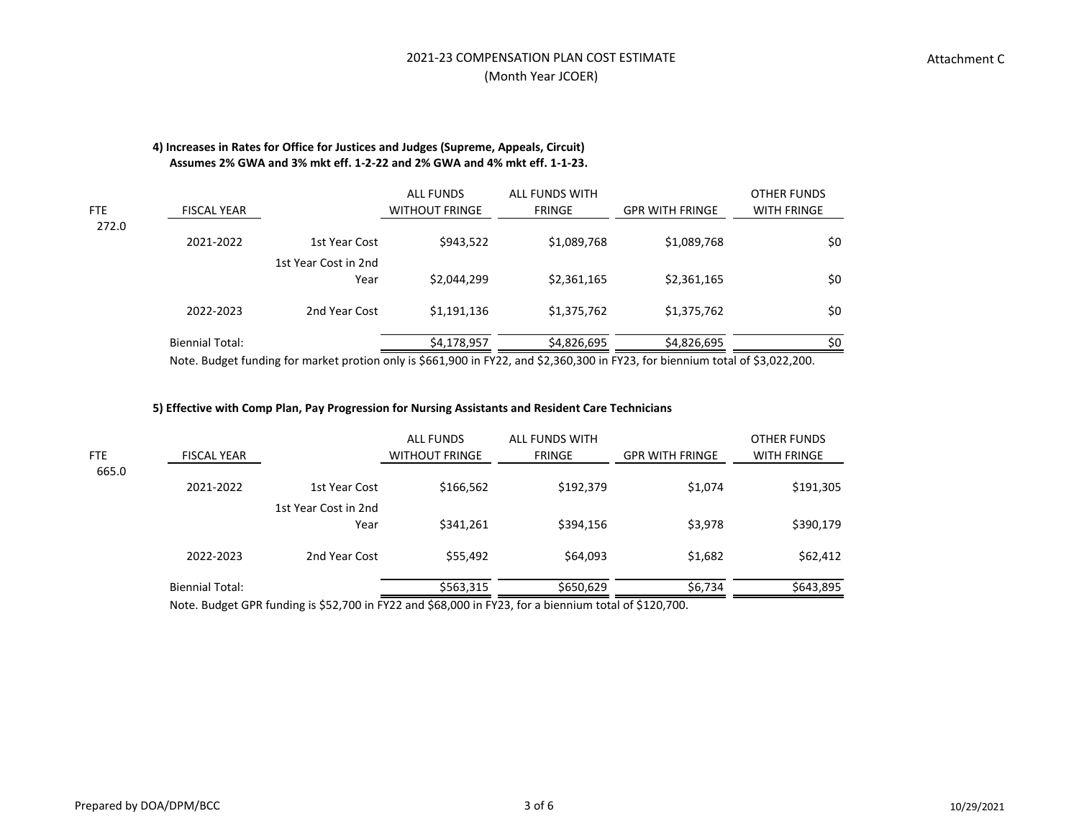## **4) Increases in Rates for Office for Justices and Judges (Supreme, Appeals, Circuit)** Assumes 2% GWA and 3% mkt eff. 1-2-22 and 2% GWA and 4% mkt eff. 1-1-23.

| <b>FTE</b> | <b>FISCAL YEAR</b>     |                                                                                                                                                                                                                                                                                                             | <b>ALL FUNDS</b><br><b>WITHOUT FRINGE</b> | ALL FUNDS WITH<br><b>FRINGE</b> | <b>GPR WITH FRINGE</b> | <b>OTHER FUNDS</b><br><b>WITH FRINGE</b> |
|------------|------------------------|-------------------------------------------------------------------------------------------------------------------------------------------------------------------------------------------------------------------------------------------------------------------------------------------------------------|-------------------------------------------|---------------------------------|------------------------|------------------------------------------|
| 272.0      | 2021-2022              | 1st Year Cost                                                                                                                                                                                                                                                                                               | \$943,522                                 | \$1,089,768                     | \$1,089,768            | \$0                                      |
|            |                        | 1st Year Cost in 2nd<br>Year                                                                                                                                                                                                                                                                                | \$2,044,299                               | \$2,361,165                     | \$2,361,165            | \$0                                      |
|            | 2022-2023              | 2nd Year Cost                                                                                                                                                                                                                                                                                               | \$1,191,136                               | \$1,375,762                     | \$1,375,762            | \$0                                      |
|            | <b>Biennial Total:</b> | $\mathbf{A}$ , $\mathbf{A}$ , $\mathbf{A}$ , $\mathbf{A}$ , $\mathbf{A}$ , $\mathbf{A}$ , $\mathbf{A}$ , $\mathbf{A}$ , $\mathbf{A}$ , $\mathbf{A}$ , $\mathbf{A}$ , $\mathbf{A}$ , $\mathbf{A}$ , $\mathbf{A}$ , $\mathbf{A}$ , $\mathbf{A}$ , $\mathbf{A}$ , $\mathbf{A}$ , $\mathbf{A}$ , $\mathbf{A}$ , | \$4,178,957                               | \$4,826,695                     | \$4,826,695            | \$0                                      |

Note. Budget funding for market protion only is \$661,900 in FY22, and \$2,360,300 in FY23, for biennium total of \$3,022,200.

#### **5) Effective with Comp Plan, Pay Progression for Nursing Assistants and Resident Care Technicians**

| FTE.<br>665.0 | <b>FISCAL YEAR</b>          | <b>WITHOUT FRINGE</b>                                   |                                                                                                                                                                                                                                                                                                                                  | ALL FUNDS WITH<br><b>FRINGE</b> | <b>GPR WITH FRINGE</b> | <b>OTHER FUNDS</b><br><b>WITH FRINGE</b> |
|---------------|-----------------------------|---------------------------------------------------------|----------------------------------------------------------------------------------------------------------------------------------------------------------------------------------------------------------------------------------------------------------------------------------------------------------------------------------|---------------------------------|------------------------|------------------------------------------|
|               | 2021-2022                   | 1st Year Cost                                           | \$166,562                                                                                                                                                                                                                                                                                                                        | \$192,379                       | \$1,074                | \$191,305                                |
|               |                             | 1st Year Cost in 2nd<br>Year                            | \$341,261                                                                                                                                                                                                                                                                                                                        | \$394,156                       | \$3,978                | \$390,179                                |
|               | 2022-2023                   | 2nd Year Cost                                           | \$55,492                                                                                                                                                                                                                                                                                                                         | \$64,093                        | \$1,682                | \$62,412                                 |
|               | <b>Biennial Total:</b><br>. | $\cdot$ $\cdot$ $\cdot$ $\cdot$ $\cdot$ $\cdot$ $\cdot$ | \$563,315<br>$\frac{1}{2}$ $\frac{1}{2}$ $\frac{1}{2}$ $\frac{1}{2}$ $\frac{1}{2}$ $\frac{1}{2}$ $\frac{1}{2}$ $\frac{1}{2}$ $\frac{1}{2}$ $\frac{1}{2}$ $\frac{1}{2}$ $\frac{1}{2}$ $\frac{1}{2}$ $\frac{1}{2}$ $\frac{1}{2}$ $\frac{1}{2}$ $\frac{1}{2}$ $\frac{1}{2}$ $\frac{1}{2}$ $\frac{1}{2}$ $\frac{1}{2}$ $\frac{1}{2}$ | \$650,629<br>. .                | \$6,734                | \$643,895                                |

Note. Budget GPR funding is \$52,700 in FY22 and \$68,000 in FY23, for <sup>a</sup> biennium total of \$120,700.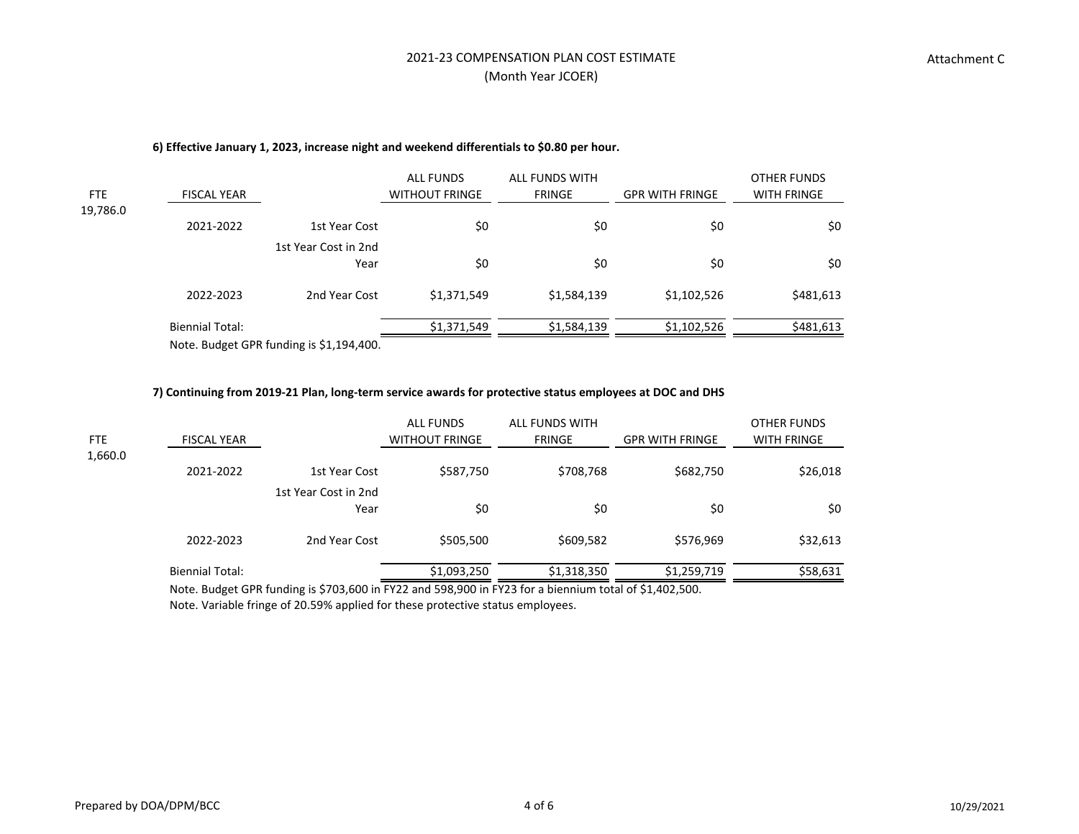## **6) Effective January 1, 2023, increase night and weekend differentials to \$0.80 per hour.**

| <b>FTE</b> | <b>FISCAL YEAR</b>     |                                          | <b>ALL FUNDS</b><br><b>WITHOUT FRINGE</b> | ALL FUNDS WITH<br><b>FRINGE</b> | <b>GPR WITH FRINGE</b> | <b>OTHER FUNDS</b><br><b>WITH FRINGE</b> |
|------------|------------------------|------------------------------------------|-------------------------------------------|---------------------------------|------------------------|------------------------------------------|
| 19,786.0   | 2021-2022              | 1st Year Cost                            | \$0                                       | \$0                             | \$0                    | \$0                                      |
|            |                        |                                          |                                           |                                 |                        |                                          |
|            |                        | 1st Year Cost in 2nd                     |                                           |                                 |                        |                                          |
|            |                        | Year                                     | \$0                                       | \$0                             | \$0                    | \$0                                      |
|            | 2022-2023              | 2nd Year Cost                            | \$1,371,549                               | \$1,584,139                     | \$1,102,526            | \$481,613                                |
|            | <b>Biennial Total:</b> |                                          | \$1,371,549                               | \$1,584,139                     | \$1,102,526            | \$481,613                                |
|            |                        | Note. Budget GPR funding is \$1,194,400. |                                           |                                 |                        |                                          |

### 7) Continuing from 2019-21 Plan, long-term service awards for protective status employees at DOC and DHS

|         |                        |                                                                                                    | ALL FUNDS             | ALL FUNDS WITH |                        | <b>OTHER FUNDS</b> |
|---------|------------------------|----------------------------------------------------------------------------------------------------|-----------------------|----------------|------------------------|--------------------|
| FTE     | <b>FISCAL YEAR</b>     |                                                                                                    | <b>WITHOUT FRINGE</b> | <b>FRINGE</b>  | <b>GPR WITH FRINGE</b> | <b>WITH FRINGE</b> |
| 1,660.0 |                        |                                                                                                    |                       |                |                        |                    |
|         | 2021-2022              | 1st Year Cost                                                                                      | \$587,750             | \$708,768      | \$682,750              | \$26,018           |
|         |                        | 1st Year Cost in 2nd                                                                               |                       |                |                        |                    |
|         |                        | Year                                                                                               | \$0                   | \$0            | \$0                    | \$0                |
|         | 2022-2023              | 2nd Year Cost                                                                                      | \$505,500             | \$609,582      | \$576,969              | \$32,613           |
|         | <b>Biennial Total:</b> |                                                                                                    | \$1,093,250           | \$1,318,350    | \$1,259,719            | \$58,631           |
|         |                        | Nets, Budget CBB funding is 6703 COO in FV33 and FOO 000 in FV33 faxe biompium total of 61,403 FOO |                       |                |                        |                    |

Note. Budget GPR funding is \$703,600 in FY22 and 598,900 in FY23 for <sup>a</sup> biennium total of \$1,402,500. Note. Variable fringe of 20.59% applied for these protective status employees.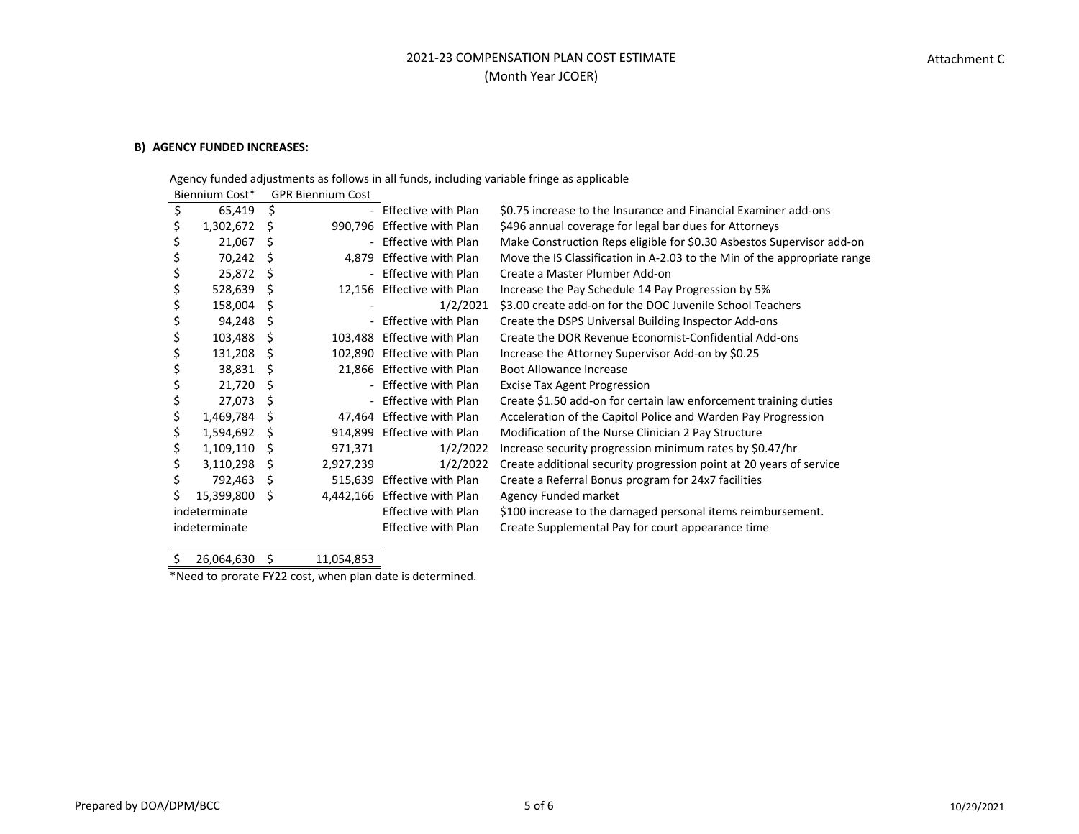### **B) AGENCY FUNDED INCREASES:**

Agency funded adjustments as follows in all funds, including variable fringe as applicable

|    | Biennium Cost* |    | <b>GPR Biennium Cost</b> |                               |                                                                          |
|----|----------------|----|--------------------------|-------------------------------|--------------------------------------------------------------------------|
| \$ | 65,419         | \$ |                          | - Effective with Plan         | \$0.75 increase to the Insurance and Financial Examiner add-ons          |
| S  | 1,302,672      | S  |                          | 990,796 Effective with Plan   | \$496 annual coverage for legal bar dues for Attorneys                   |
|    | 21,067         | Ś  |                          | - Effective with Plan         | Make Construction Reps eligible for \$0.30 Asbestos Supervisor add-on    |
|    | 70,242         | \$ |                          | 4,879 Effective with Plan     | Move the IS Classification in A-2.03 to the Min of the appropriate range |
|    | 25,872         | S  |                          | - Effective with Plan         | Create a Master Plumber Add-on                                           |
|    | 528,639        | S  |                          | 12,156 Effective with Plan    | Increase the Pay Schedule 14 Pay Progression by 5%                       |
|    | 158,004        | S  |                          | 1/2/2021                      | \$3.00 create add-on for the DOC Juvenile School Teachers                |
|    | 94,248         | Ś  |                          | - Effective with Plan         | Create the DSPS Universal Building Inspector Add-ons                     |
|    | 103,488        | S  |                          | 103,488 Effective with Plan   | Create the DOR Revenue Economist-Confidential Add-ons                    |
|    | 131,208        | S  |                          | 102,890 Effective with Plan   | Increase the Attorney Supervisor Add-on by \$0.25                        |
|    | 38,831         | S  |                          | 21,866 Effective with Plan    | Boot Allowance Increase                                                  |
|    | 21,720         | S  |                          | - Effective with Plan         | <b>Excise Tax Agent Progression</b>                                      |
|    | 27,073         | S  |                          | - Effective with Plan         | Create \$1.50 add-on for certain law enforcement training duties         |
|    | 1,469,784      | S  |                          | 47,464 Effective with Plan    | Acceleration of the Capitol Police and Warden Pay Progression            |
|    | 1,594,692      |    | 914,899                  | Effective with Plan           | Modification of the Nurse Clinician 2 Pay Structure                      |
| S  | 1,109,110      | S  | 971,371                  | 1/2/2022                      | Increase security progression minimum rates by \$0.47/hr                 |
|    | 3,110,298      | S  | 2,927,239                | 1/2/2022                      | Create additional security progression point at 20 years of service      |
| S  | 792,463        | S  |                          | 515,639 Effective with Plan   | Create a Referral Bonus program for 24x7 facilities                      |
| Ś  | 15,399,800     | S  |                          | 4,442,166 Effective with Plan | Agency Funded market                                                     |
|    | indeterminate  |    |                          | <b>Effective with Plan</b>    | \$100 increase to the damaged personal items reimbursement.              |
|    | indeterminate  |    |                          | <b>Effective with Plan</b>    | Create Supplemental Pay for court appearance time                        |

 $$ 26,064,630 \quad $ 11,054,853$ 

\*Need to prorate FY22 cost, when plan date is determined.